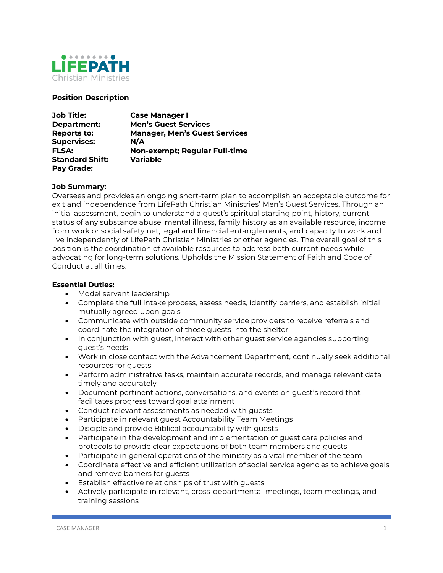

# **Position Description**

| <b>Job Title:</b>      | <b>Case Manager I</b>                |
|------------------------|--------------------------------------|
| Department:            | <b>Men's Guest Services</b>          |
| <b>Reports to:</b>     | <b>Manager, Men's Guest Services</b> |
| <b>Supervises:</b>     | N/A                                  |
| <b>FLSA:</b>           | Non-exempt; Regular Full-time        |
| <b>Standard Shift:</b> | <b>Variable</b>                      |
| Pay Grade:             |                                      |

# **Job Summary:**

Oversees and provides an ongoing short-term plan to accomplish an acceptable outcome for exit and independence from LifePath Christian Ministries' Men's Guest Services. Through an initial assessment, begin to understand a guest's spiritual starting point, history, current status of any substance abuse, mental illness, family history as an available resource, income from work or social safety net, legal and financial entanglements, and capacity to work and live independently of LifePath Christian Ministries or other agencies. The overall goal of this position is the coordination of available resources to address both current needs while advocating for long-term solutions. Upholds the Mission Statement of Faith and Code of Conduct at all times.

#### **Essential Duties:**

- Model servant leadership
- Complete the full intake process, assess needs, identify barriers, and establish initial mutually agreed upon goals
- Communicate with outside community service providers to receive referrals and coordinate the integration of those guests into the shelter
- In conjunction with guest, interact with other guest service agencies supporting guest's needs
- Work in close contact with the Advancement Department, continually seek additional resources for guests
- Perform administrative tasks, maintain accurate records, and manage relevant data timely and accurately
- Document pertinent actions, conversations, and events on guest's record that facilitates progress toward goal attainment
- Conduct relevant assessments as needed with guests
- Participate in relevant guest Accountability Team Meetings
- Disciple and provide Biblical accountability with guests
- Participate in the development and implementation of guest care policies and protocols to provide clear expectations of both team members and guests
- Participate in general operations of the ministry as a vital member of the team
- Coordinate effective and efficient utilization of social service agencies to achieve goals and remove barriers for guests
- Establish effective relationships of trust with guests
- Actively participate in relevant, cross-departmental meetings, team meetings, and training sessions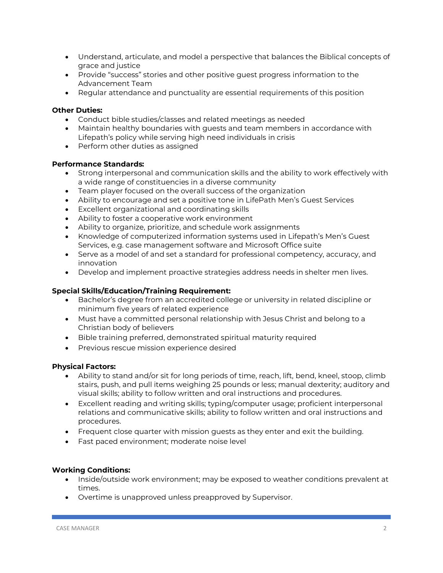- Understand, articulate, and model a perspective that balances the Biblical concepts of grace and justice
- Provide "success" stories and other positive guest progress information to the Advancement Team
- Regular attendance and punctuality are essential requirements of this position

# **Other Duties:**

- Conduct bible studies/classes and related meetings as needed
- Maintain healthy boundaries with guests and team members in accordance with Lifepath's policy while serving high need individuals in crisis
- Perform other duties as assigned

#### **Performance Standards:**

- Strong interpersonal and communication skills and the ability to work effectively with a wide range of constituencies in a diverse community
- Team player focused on the overall success of the organization
- Ability to encourage and set a positive tone in LifePath Men's Guest Services
- Excellent organizational and coordinating skills
- Ability to foster a cooperative work environment
- Ability to organize, prioritize, and schedule work assignments
- Knowledge of computerized information systems used in Lifepath's Men's Guest Services, e.g. case management software and Microsoft Office suite
- Serve as a model of and set a standard for professional competency, accuracy, and innovation
- Develop and implement proactive strategies address needs in shelter men lives.

# **Special Skills/Education/Training Requirement:**

- Bachelor's degree from an accredited college or university in related discipline or minimum five years of related experience
- Must have a committed personal relationship with Jesus Christ and belong to a Christian body of believers
- Bible training preferred, demonstrated spiritual maturity required
- Previous rescue mission experience desired

#### **Physical Factors:**

- Ability to stand and/or sit for long periods of time, reach, lift, bend, kneel, stoop, climb stairs, push, and pull items weighing 25 pounds or less; manual dexterity; auditory and visual skills; ability to follow written and oral instructions and procedures.
- Excellent reading and writing skills; typing/computer usage; proficient interpersonal relations and communicative skills; ability to follow written and oral instructions and procedures.
- Frequent close quarter with mission guests as they enter and exit the building.
- Fast paced environment; moderate noise level

# **Working Conditions:**

- Inside/outside work environment; may be exposed to weather conditions prevalent at times.
- Overtime is unapproved unless preapproved by Supervisor.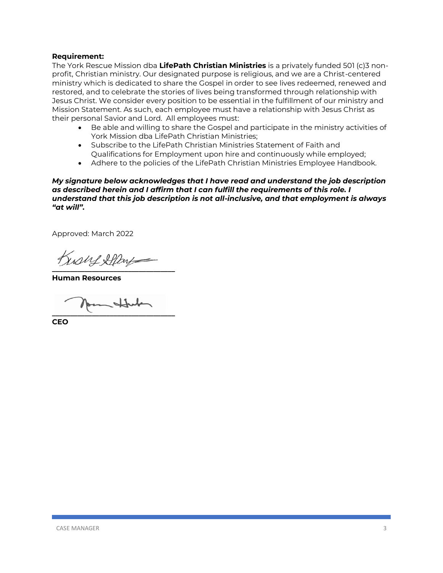#### **Requirement:**

The York Rescue Mission dba **LifePath Christian Ministries** is a privately funded 501 (c)3 nonprofit, Christian ministry. Our designated purpose is religious, and we are a Christ-centered ministry which is dedicated to share the Gospel in order to see lives redeemed, renewed and restored, and to celebrate the stories of lives being transformed through relationship with Jesus Christ. We consider every position to be essential in the fulfillment of our ministry and Mission Statement. As such, each employee must have a relationship with Jesus Christ as their personal Savior and Lord. All employees must:

- Be able and willing to share the Gospel and participate in the ministry activities of York Mission dba LifePath Christian Ministries;
- Subscribe to the LifePath Christian Ministries Statement of Faith and Qualifications for Employment upon hire and continuously while employed;
- Adhere to the policies of the LifePath Christian Ministries Employee Handbook.

*My signature below acknowledges that I have read and understand the job description as described herein and I affirm that I can fulfill the requirements of this role. I understand that this job description is not all-inclusive, and that employment is always "at will".* 

Approved: March 2022

Kishf Shlang **\_\_\_\_\_\_\_\_\_\_\_\_\_\_\_\_\_\_\_\_\_\_\_\_\_\_\_\_\_\_\_\_\_\_**

**Human Resources**

Johnt **\_\_\_\_\_\_\_\_\_\_\_\_\_\_\_\_\_\_\_\_\_\_\_\_\_\_\_\_\_\_\_\_\_\_**

**CEO**